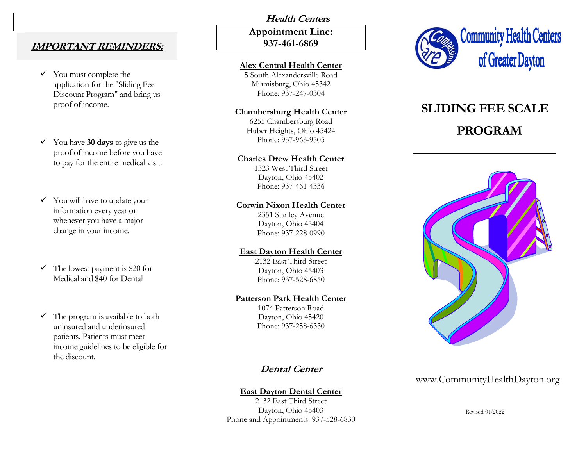## **IMPORTANT REMINDERS:**

 $\checkmark$  You must complete the application for the "Sliding Fee Discount Program" and bring us proof of income.

✓ You have **30 days** to give us the proof of income before you have to pay for the entire medical visit.

 $\checkmark$  You will have to update your information every year or whenever you have a major change in your income.

 $\checkmark$  The lowest payment is \$20 for Medical and \$40 for Dental

 $\checkmark$  The program is available to both uninsured and underinsured patients. Patients must meet income guidelines to be eligible for the discount.

# **Health Centers Appointment Line: 937-461-6869**

### **Alex Central Health Center**

5 South Alexandersville Road Miamisburg, Ohio 45342 Phone: 937-247-0304

#### **Chambersburg Health Center**

6255 Chambersburg Road Huber Heights, Ohio 45424 Phone: 937-963-9505

### **Charles Drew Health Center**

1323 West Third Street Dayton, Ohio 45402 Phone: 937-461-4336

### **Corwin Nixon Health Center**

2351 Stanley Avenue Dayton, Ohio 45404 Phone: 937-228-0990

### **East Dayton Health Center**

2132 East Third Street Dayton, Ohio 45403 Phone: 937-528-6850

### **Patterson Park Health Center**

1074 Patterson Road Dayton, Ohio 45420 Phone: 937-258-6330

# **Dental Center**

## **East Dayton Dental Center**

2132 East Third Street Dayton, Ohio 45403 Phone and Appointments: 937-528-6830



# **SLIDING FEE SCALE PROGRAM**



# www.CommunityHealthDayton.org

Revised 01/2022